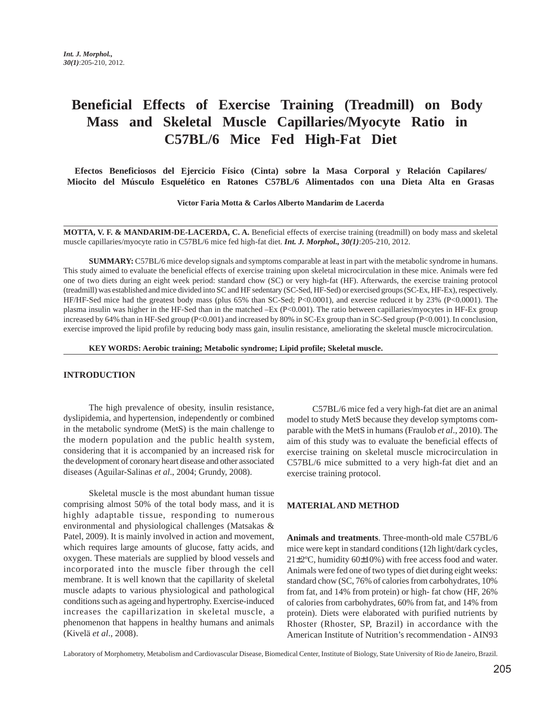# **Beneficial Effects of Exercise Training (Treadmill) on Body Mass and Skeletal Muscle Capillaries/Myocyte Ratio in C57BL/6 Mice Fed High-Fat Diet**

**Efectos Beneficiosos del Ejercicio Físico (Cinta) sobre la Masa Corporal y Relación Capilares/ Miocito del Músculo Esquelético en Ratones C57BL/6 Alimentados con una Dieta Alta en Grasas**

**Victor Faria Motta & Carlos Alberto Mandarim de Lacerda**

**MOTTA, V. F. & MANDARIM-DE-LACERDA, C. A.** Beneficial effects of exercise training (treadmill) on body mass and skeletal muscle capillaries/myocyte ratio in C57BL/6 mice fed high-fat diet. *Int. J. Morphol., 30(1)*:205-210, 2012.

**SUMMARY:** C57BL/6 mice develop signals and symptoms comparable at least in part with the metabolic syndrome in humans. This study aimed to evaluate the beneficial effects of exercise training upon skeletal microcirculation in these mice. Animals were fed one of two diets during an eight week period: standard chow (SC) or very high-fat (HF). Afterwards, the exercise training protocol (treadmill) was established and mice divided into SC and HF sedentary (SC-Sed, HF-Sed) or exercised groups (SC-Ex, HF-Ex), respectively. HF/HF-Sed mice had the greatest body mass (plus 65% than SC-Sed; P<0.0001), and exercise reduced it by 23% (P<0.0001). The plasma insulin was higher in the HF-Sed than in the matched –Ex (P<0.001). The ratio between capillaries/myocytes in HF-Ex group increased by 64% than in HF-Sed group (P<0.001) and increased by 80% in SC-Ex group than in SC-Sed group (P<0.001). In conclusion, exercise improved the lipid profile by reducing body mass gain, insulin resistance, ameliorating the skeletal muscle microcirculation.

**KEY WORDS: Aerobic training; Metabolic syndrome; Lipid profile; Skeletal muscle.**

## **INTRODUCTION**

The high prevalence of obesity, insulin resistance, dyslipidemia, and hypertension, independently or combined in the metabolic syndrome (MetS) is the main challenge to the modern population and the public health system, considering that it is accompanied by an increased risk for the development of coronary heart disease and other associated diseases (Aguilar-Salinas *et al*., 2004; Grundy, 2008).

Skeletal muscle is the most abundant human tissue comprising almost 50% of the total body mass, and it is highly adaptable tissue, responding to numerous environmental and physiological challenges (Matsakas & Patel, 2009). It is mainly involved in action and movement, which requires large amounts of glucose, fatty acids, and oxygen. These materials are supplied by blood vessels and incorporated into the muscle fiber through the cell membrane. It is well known that the capillarity of skeletal muscle adapts to various physiological and pathological conditions such as ageing and hypertrophy. Exercise-induced increases the capillarization in skeletal muscle, a phenomenon that happens in healthy humans and animals (Kivelä *et al*., 2008).

C57BL/6 mice fed a very high-fat diet are an animal model to study MetS because they develop symptoms comparable with the MetS in humans (Fraulob *et al*., 2010). The aim of this study was to evaluate the beneficial effects of exercise training on skeletal muscle microcirculation in C57BL/6 mice submitted to a very high-fat diet and an exercise training protocol.

#### **MATERIAL AND METHOD**

**Animals and treatments**. Three-month-old male C57BL/6 mice were kept in standard conditions (12h light/dark cycles,  $21\pm2\degree$ C, humidity 60 $\pm10\%$ ) with free access food and water. Animals were fed one of two types of diet during eight weeks: standard chow (SC, 76% of calories from carbohydrates, 10% from fat, and 14% from protein) or high- fat chow (HF, 26% of calories from carbohydrates, 60% from fat, and 14% from protein). Diets were elaborated with purified nutrients by Rhoster (Rhoster, SP, Brazil) in accordance with the American Institute of Nutrition's recommendation - AIN93

Laboratory of Morphometry, Metabolism and Cardiovascular Disease, Biomedical Center, Institute of Biology, State University of Rio de Janeiro, Brazil.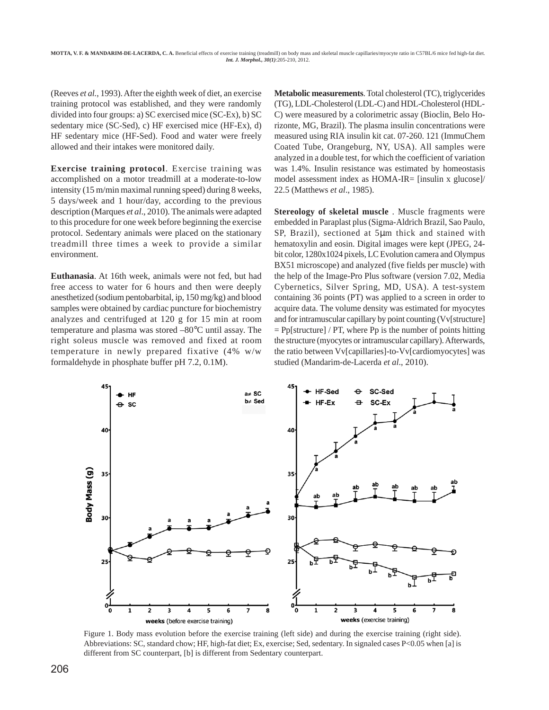(Reeves *et al.*, 1993). After the eighth week of diet, an exercise training protocol was established, and they were randomly divided into four groups: a) SC exercised mice (SC-Ex), b) SC sedentary mice (SC-Sed), c) HF exercised mice (HF-Ex), d) HF sedentary mice (HF-Sed). Food and water were freely allowed and their intakes were monitored daily.

**Exercise training protocol**. Exercise training was accomplished on a motor treadmill at a moderate-to-low intensity (15 m/min maximal running speed) during 8 weeks, 5 days/week and 1 hour/day, according to the previous description (Marques *et al*., 2010). The animals were adapted to this procedure for one week before beginning the exercise protocol. Sedentary animals were placed on the stationary treadmill three times a week to provide a similar environment.

**Euthanasia**. At 16th week, animals were not fed, but had free access to water for 6 hours and then were deeply anesthetized (sodium pentobarbital, ip, 150 mg/kg) and blood samples were obtained by cardiac puncture for biochemistry analyzes and centrifuged at 120 g for 15 min at room temperature and plasma was stored –80°C until assay. The right soleus muscle was removed and fixed at room temperature in newly prepared fixative (4% w/w formaldehyde in phosphate buffer pH 7.2, 0.1M).

**Metabolic measurements**. Total cholesterol (TC), triglycerides (TG), LDL-Cholesterol (LDL-C) and HDL-Cholesterol (HDL-C) were measured by a colorimetric assay (Bioclin, Belo Horizonte, MG, Brazil). The plasma insulin concentrations were measured using RIA insulin kit cat. 07-260. 121 (ImmuChem Coated Tube, Orangeburg, NY, USA). All samples were analyzed in a double test, for which the coefficient of variation was 1.4%. Insulin resistance was estimated by homeostasis model assessment index as HOMA-IR= [insulin x glucose]/ 22.5 (Matthews *et al*., 1985).

**Stereology of skeletal muscle** . Muscle fragments were embedded in Paraplast plus (Sigma-Aldrich Brazil, Sao Paulo, SP, Brazil), sectioned at 5µm thick and stained with hematoxylin and eosin. Digital images were kept (JPEG, 24 bit color, 1280x1024 pixels, LC Evolution camera and Olympus BX51 microscope) and analyzed (five fields per muscle) with the help of the Image-Pro Plus software (version 7.02, Media Cybernetics, Silver Spring, MD, USA). A test-system containing 36 points (PT) was applied to a screen in order to acquire data. The volume density was estimated for myocytes and for intramuscular capillary by point counting (Vv[structure]  $=$  Pp[structure] / PT, where Pp is the number of points hitting the structure (myocytes or intramuscular capillary). Afterwards, the ratio between Vv[capillaries]-to-Vv[cardiomyocytes] was studied (Mandarim-de-Lacerda *et al*., 2010).



Figure 1. Body mass evolution before the exercise training (left side) and during the exercise training (right side). Abbreviations: SC, standard chow; HF, high-fat diet; Ex, exercise; Sed, sedentary. In signaled cases P<0.05 when [a] is different from SC counterpart, [b] is different from Sedentary counterpart.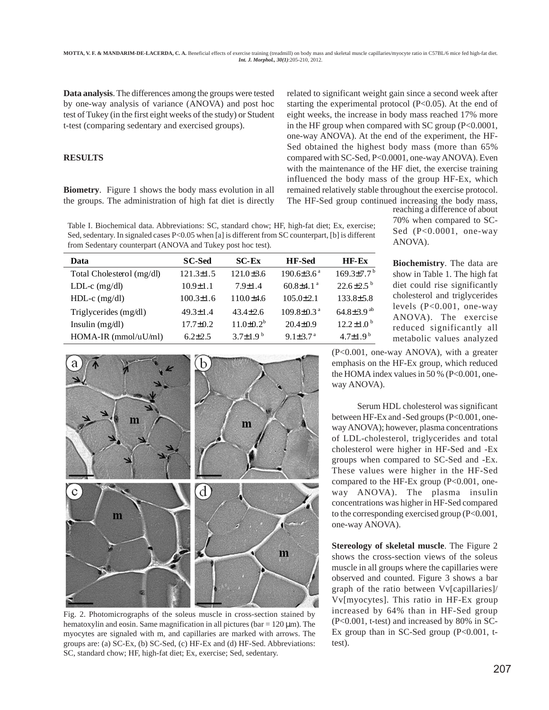**Data analysis**. The differences among the groups were tested by one-way analysis of variance (ANOVA) and post hoc test of Tukey (in the first eight weeks of the study) or Student t-test (comparing sedentary and exercised groups).

### **RESULTS**

**Biometry**. Figure 1 shows the body mass evolution in all the groups. The administration of high fat diet is directly related to significant weight gain since a second week after starting the experimental protocol (P<0.05). At the end of eight weeks, the increase in body mass reached 17% more in the HF group when compared with SC group  $(P<0.0001$ , one-way ANOVA). At the end of the experiment, the HF-Sed obtained the highest body mass (more than 65% compared with SC-Sed, P<0.0001, one-way ANOVA). Even with the maintenance of the HF diet, the exercise training influenced the body mass of the group HF-Ex, which remained relatively stable throughout the exercise protocol. The HF-Sed group continued increasing the body mass,

Table I. Biochemical data. Abbreviations: SC, standard chow; HF, high-fat diet; Ex, exercise; Sed, sedentary. In signaled cases P<0.05 when [a] is different from SC counterpart, [b] is different from Sedentary counterpart (ANOVA and Tukey post hoc test).

| Data                      | <b>SC-Sed</b>   | $SC$ - $Ex$      | <b>HF-Sed</b>                | $HF-Ex$                      |
|---------------------------|-----------------|------------------|------------------------------|------------------------------|
| Total Cholesterol (mg/dl) | $121.3 \pm 1.5$ | $121.0 \pm 3.6$  | $190.6 \pm 3.6^{\text{a}}$   | $169.3{\pm}7.7^{b}$          |
| LDL-c $(mg/dl)$           | $10.9 \pm 1.1$  | $7.9 \pm 1.4$    | $60.8\pm4.1$ <sup>a</sup>    | $22.6 \pm 2.5$ <sup>b</sup>  |
| $HDL-c$ (mg/dl)           | $100.3 \pm 1.6$ | $110.0\pm4.6$    | $105.0 \pm 2.1$              | $133.8 \pm 5.8$              |
| Triglycerides (mg/dl)     | $49.3 \pm 1.4$  | $43.4 \pm 2.6$   | $109.8 \pm 0.3$ <sup>a</sup> | 64.8 $\pm$ 3.9 <sup>ab</sup> |
| Insulin $(mg/dl)$         | $17.7 \pm 0.2$  | $11.0 \pm 0.2^b$ | $20.4 \pm 0.9$               | $12.2 \pm 1.0^{\mathrm{b}}$  |
| $HOMA-IR$ (mmol/uU/ml)    | $6.2 + 2.5$     | $3.7+1.9b$       | $9.1 \pm 3.7$ <sup>a</sup>   | $4.7 + 1.9^{b}$              |
|                           |                 |                  |                              |                              |



Fig. 2. Photomicrographs of the soleus muscle in cross-section stained by hematoxylin and eosin. Same magnification in all pictures ( $bar = 120 \mu m$ ). The myocytes are signaled with m, and capillaries are marked with arrows. The groups are: (a) SC-Ex, (b) SC-Sed, (c) HF-Ex and (d) HF-Sed. Abbreviations: SC, standard chow; HF, high-fat diet; Ex, exercise; Sed, sedentary.

reaching a difference of about 70% when compared to SC-Sed (P<0.0001, one-way ANOVA).

**Biochemistry**. The data are show in Table 1. The high fat diet could rise significantly cholesterol and triglycerides levels (P<0.001, one-way ANOVA). The exercise reduced significantly all metabolic values analyzed

(P<0.001, one-way ANOVA), with a greater emphasis on the HF-Ex group, which reduced the HOMA index values in 50 % ( $P<0.001$ , oneway ANOVA).

Serum HDL cholesterol was significant between HF-Ex and -Sed groups (P<0.001, oneway ANOVA); however, plasma concentrations of LDL-cholesterol, triglycerides and total cholesterol were higher in HF-Sed and -Ex groups when compared to SC-Sed and -Ex. These values were higher in the HF-Sed compared to the HF-Ex group (P<0.001, oneway ANOVA). The plasma insulin concentrations was higher in HF-Sed compared to the corresponding exercised group (P<0.001, one-way ANOVA).

**Stereology of skeletal muscle**. The Figure 2 shows the cross-section views of the soleus muscle in all groups where the capillaries were observed and counted. Figure 3 shows a bar graph of the ratio between Vv[capillaries]/ Vv[myocytes]. This ratio in HF-Ex group increased by 64% than in HF-Sed group (P<0.001, t-test) and increased by 80% in SC-Ex group than in SC-Sed group  $(P<0.001, t$ test).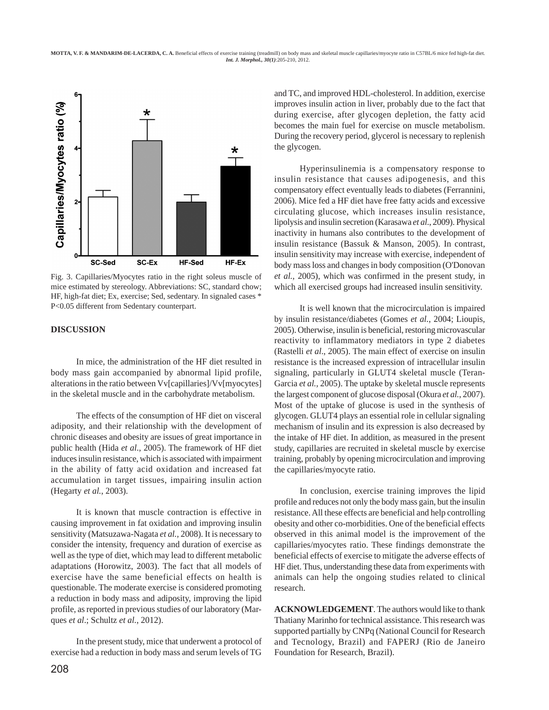**MOTTA, V. F. & MANDARIM-DE-LACERDA, C. A.** Beneficial effects of exercise training (treadmill) on body mass and skeletal muscle capillaries/myocyte ratio in C57BL/6 mice fed high-fat diet. *Int. J. Morphol., 30(1)*:205-210, 2012.



Fig. 3. Capillaries/Myocytes ratio in the right soleus muscle of mice estimated by stereology. Abbreviations: SC, standard chow; HF, high-fat diet; Ex, exercise; Sed, sedentary. In signaled cases \* P<0.05 different from Sedentary counterpart.

### **DISCUSSION**

In mice, the administration of the HF diet resulted in body mass gain accompanied by abnormal lipid profile, alterations in the ratio between Vv[capillaries]/Vv[myocytes] in the skeletal muscle and in the carbohydrate metabolism.

The effects of the consumption of HF diet on visceral adiposity, and their relationship with the development of chronic diseases and obesity are issues of great importance in public health (Hida *et al*., 2005). The framework of HF diet induces insulin resistance, which is associated with impairment in the ability of fatty acid oxidation and increased fat accumulation in target tissues, impairing insulin action (Hegarty *et al.*, 2003).

It is known that muscle contraction is effective in causing improvement in fat oxidation and improving insulin sensitivity (Matsuzawa-Nagata *et al.,* 2008). It is necessary to consider the intensity, frequency and duration of exercise as well as the type of diet, which may lead to different metabolic adaptations (Horowitz, 2003). The fact that all models of exercise have the same beneficial effects on health is questionable. The moderate exercise is considered promoting a reduction in body mass and adiposity, improving the lipid profile, as reported in previous studies of our laboratory (Marques *et al*.; Schultz *et al.*, 2012).

In the present study, mice that underwent a protocol of exercise had a reduction in body mass and serum levels of TG

and TC, and improved HDL-cholesterol. In addition, exercise improves insulin action in liver, probably due to the fact that during exercise, after glycogen depletion, the fatty acid becomes the main fuel for exercise on muscle metabolism. During the recovery period, glycerol is necessary to replenish the glycogen.

Hyperinsulinemia is a compensatory response to insulin resistance that causes adipogenesis, and this compensatory effect eventually leads to diabetes (Ferrannini, 2006). Mice fed a HF diet have free fatty acids and excessive circulating glucose, which increases insulin resistance, lipolysis and insulin secretion (Karasawa *et al*., 2009). Physical inactivity in humans also contributes to the development of insulin resistance (Bassuk & Manson, 2005). In contrast, insulin sensitivity may increase with exercise, independent of body mass loss and changes in body composition (O'Donovan *et al.,* 2005), which was confirmed in the present study, in which all exercised groups had increased insulin sensitivity.

It is well known that the microcirculation is impaired by insulin resistance/diabetes (Gomes *et al.*, 2004; Lioupis, 2005). Otherwise, insulin is beneficial, restoring microvascular reactivity to inflammatory mediators in type 2 diabetes (Rastelli *et al*., 2005). The main effect of exercise on insulin resistance is the increased expression of intracellular insulin signaling, particularly in GLUT4 skeletal muscle (Teran-Garcia *et al.,* 2005). The uptake by skeletal muscle represents the largest component of glucose disposal (Okura *et al.*, 2007). Most of the uptake of glucose is used in the synthesis of glycogen. GLUT4 plays an essential role in cellular signaling mechanism of insulin and its expression is also decreased by the intake of HF diet. In addition, as measured in the present study, capillaries are recruited in skeletal muscle by exercise training, probably by opening microcirculation and improving the capillaries/myocyte ratio.

In conclusion, exercise training improves the lipid profile and reduces not only the body mass gain, but the insulin resistance. All these effects are beneficial and help controlling obesity and other co-morbidities. One of the beneficial effects observed in this animal model is the improvement of the capillaries/myocytes ratio. These findings demonstrate the beneficial effects of exercise to mitigate the adverse effects of HF diet. Thus, understanding these data from experiments with animals can help the ongoing studies related to clinical research.

**ACKNOWLEDGEMENT**. The authors would like to thank Thatiany Marinho for technical assistance. This research was supported partially by CNPq (National Council for Research and Tecnology, Brazil) and FAPERJ (Rio de Janeiro Foundation for Research, Brazil).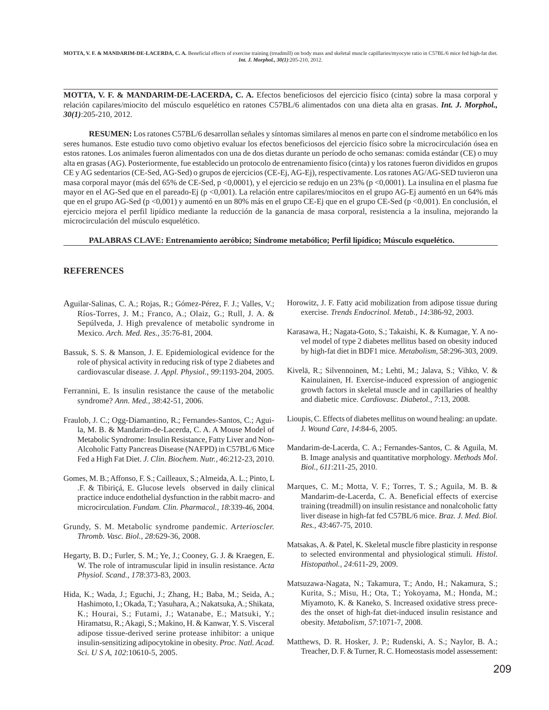**MOTTA, V. F. & MANDARIM-DE-LACERDA, C. A.** Efectos beneficiosos del ejercicio físico (cinta) sobre la masa corporal y relación capilares/miocito del músculo esquelético en ratones C57BL/6 alimentados con una dieta alta en grasas. *Int. J. Morphol., 30(1)*:205-210, 2012.

**RESUMEN:** Los ratones C57BL/6 desarrollan señales y síntomas similares al menos en parte con el síndrome metabólico en los seres humanos. Este estudio tuvo como objetivo evaluar los efectos beneficiosos del ejercicio físico sobre la microcirculación ósea en estos ratones. Los animales fueron alimentados con una de dos dietas durante un período de ocho semanas: comida estándar (CE) o muy alta en grasas (AG). Posteriormente, fue establecido un protocolo de entrenamiento físico (cinta) y los ratones fueron divididos en grupos CE y AG sedentarios (CE-Sed, AG-Sed) o grupos de ejercicios (CE-Ej, AG-Ej), respectivamente. Los ratones AG/AG-SED tuvieron una masa corporal mayor (más del 65% de CE-Sed, p <0,0001), y el ejercicio se redujo en un 23% (p <0,0001). La insulina en el plasma fue mayor en el AG-Sed que en el pareado-Ej (p <0,001). La relación entre capilares/miocitos en el grupo AG-Ej aumentó en un 64% más que en el grupo AG-Sed (p <0,001) y aumentó en un 80% más en el grupo CE-Ej que en el grupo CE-Sed (p <0,001). En conclusión, el ejercicio mejora el perfil lipídico mediante la reducción de la ganancia de masa corporal, resistencia a la insulina, mejorando la microcirculación del músculo esquelético.

#### **PALABRAS CLAVE: Entrenamiento aeróbico; Síndrome metabólico; Perfil lipídico; Músculo esquelético.**

### **REFERENCES**

- Aguilar-Salinas, C. A.; Rojas, R.; Gómez-Pérez, F. J.; Valles, V.; Ríos-Torres, J. M.; Franco, A.; Olaiz, G.; Rull, J. A. & Sepúlveda, J. High prevalence of metabolic syndrome in Mexico. *Arch. Med. Res., 35*:76-81, 2004.
- Bassuk, S. S. & Manson, J. E. Epidemiological evidence for the role of physical activity in reducing risk of type 2 diabetes and cardiovascular disease. *J. Appl. Physiol., 99*:1193-204, 2005.
- Ferrannini, E. Is insulin resistance the cause of the metabolic syndrome? *Ann. Med., 38*:42-51, 2006.
- Fraulob, J. C.; Ogg-Diamantino, R.; Fernandes-Santos, C.; Aguila, M. B. & Mandarim-de-Lacerda, C. A. A Mouse Model of Metabolic Syndrome: Insulin Resistance, Fatty Liver and Non-Alcoholic Fatty Pancreas Disease (NAFPD) in C57BL/6 Mice Fed a High Fat Diet. *J. Clin. Biochem. Nutr., 46*:212-23, 2010.
- Gomes, M. B.; Affonso, F. S.; Cailleaux, S.; Almeida, A. L.; Pinto, L .F. & Tibiriçá, E. Glucose levels observed in daily clinical practice induce endothelial dysfunction in the rabbit macro- and microcirculation. *Fundam. Clin. Pharmacol., 18*:339-46, 2004.
- Grundy, S. M. Metabolic syndrome pandemic. A*rterioscler. Thromb. Vasc. Biol., 28*:629-36, 2008.
- Hegarty, B. D.; Furler, S. M.; Ye, J.; Cooney, G. J. & Kraegen, E. W. The role of intramuscular lipid in insulin resistance. *Acta Physiol. Scand., 178*:373-83, 2003.
- Hida, K.; Wada, J.; Eguchi, J.; Zhang, H.; Baba, M.; Seida, A.; Hashimoto, I.; Okada, T.; Yasuhara, A.; Nakatsuka, A.; Shikata, K.; Hourai, S.; Futami, J.; Watanabe, E.; Matsuki, Y.; Hiramatsu, R.; Akagi, S.; Makino, H. & Kanwar, Y. S. Visceral adipose tissue-derived serine protease inhibitor: a unique insulin-sensitizing adipocytokine in obesity. *Proc. Natl. Acad. Sci. U S A, 102*:10610-5, 2005.
- Horowitz, J. F. Fatty acid mobilization from adipose tissue during exercise. *Trends Endocrinol. Metab., 14*:386-92, 2003.
- Karasawa, H.; Nagata-Goto, S.; Takaishi, K. & Kumagae, Y. A novel model of type 2 diabetes mellitus based on obesity induced by high-fat diet in BDF1 mice. *Metabolism, 58*:296-303, 2009.
- Kivelä, R.; Silvennoinen, M.; Lehti, M.; Jalava, S.; Vihko, V. & Kainulainen, H. Exercise-induced expression of angiogenic growth factors in skeletal muscle and in capillaries of healthy and diabetic mice. *Cardiovasc. Diabetol., 7*:13, 2008.
- Lioupis, C. Effects of diabetes mellitus on wound healing: an update. J*. Wound Care, 14*:84-6, 2005.
- Mandarim-de-Lacerda, C. A.; Fernandes-Santos, C. & Aguila, M. B. Image analysis and quantitative morphology. *Methods Mol. Biol., 611*:211-25, 2010.
- Marques, C. M.; Motta, V. F.; Torres, T. S.; Aguila, M. B. & Mandarim-de-Lacerda, C. A. Beneficial effects of exercise training (treadmill) on insulin resistance and nonalcoholic fatty liver disease in high-fat fed C57BL/6 mice. *Braz. J. Med. Biol. Res., 43*:467-75, 2010.
- Matsakas, A. & Patel, K. Skeletal muscle fibre plasticity in response to selected environmental and physiological stimuli. *Histol. Histopathol., 24*:611-29, 2009.
- Matsuzawa-Nagata, N.; Takamura, T.; Ando, H.; Nakamura, S.; Kurita, S.; Misu, H.; Ota, T.; Yokoyama, M.; Honda, M.; Miyamoto, K. & Kaneko, S. Increased oxidative stress precedes the onset of high-fat diet-induced insulin resistance and obesity. *Metabolism, 57*:1071-7, 2008.
- Matthews, D. R. Hosker, J. P.; Rudenski, A. S.; Naylor, B. A.; Treacher, D. F. & Turner, R. C. Homeostasis model assessement: